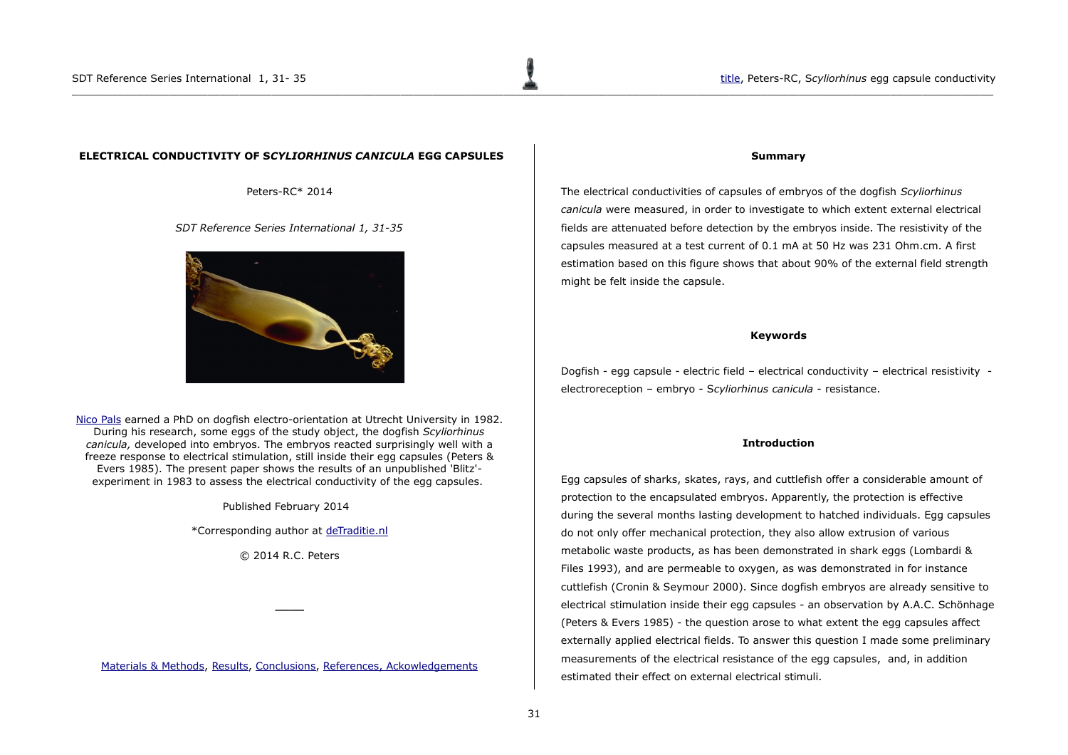# <span id="page-0-0"></span> **ELECTRICAL CONDUCTIVITY OF S***CYLIORHINUS CANICULA* **EGG CAPSULES**

Peters-RC\* 2014

*SDT Reference Series International 1, 31-35*



[Nico Pals](http://www.detraditie.nl/sdt_electroreception/sdt_uk_thesis_pals.html) earned a PhD on dogfish electro-orientation at Utrecht University in 1982. During his research, some eggs of the study object, the dogfish *Scyliorhinus canicula,* developed into embryos. The embryos reacted surprisingly well with a freeze response to electrical stimulation, still inside their egg capsules (Peters & Evers 1985). The present paper shows the results of an unpublished 'Blitz' experiment in 1983 to assess the electrical conductivity of the egg capsules.

Published February 2014

\*Corresponding author at [deTraditie.nl](http://www.deTraditie.nl/)

© 2014 R.C. Peters

**\_\_\_\_**

[Materials & Methods,](#page-1-0) [Results,](#page-2-0) [Conclusions,](#page-3-0) [References, Ackowledgements](#page-4-0)

#### **Summary**

The electrical conductivities of capsules of embryos of the dogfish *Scyliorhinus canicula* were measured, in order to investigate to which extent external electrical fields are attenuated before detection by the embryos inside. The resistivity of the capsules measured at a test current of 0.1 mA at 50 Hz was 231 Ohm.cm. A first estimation based on this figure shows that about 90% of the external field strength might be felt inside the capsule.

### **Keywords**

Dogfish - egg capsule - electric field – electrical conductivity – electrical resistivity electroreception – embryo - S*cyliorhinus canicula* - resistance.

### **Introduction**

Egg capsules of sharks, skates, rays, and cuttlefish offer a considerable amount of protection to the encapsulated embryos. Apparently, the protection is effective during the several months lasting development to hatched individuals. Egg capsules do not only offer mechanical protection, they also allow extrusion of various metabolic waste products, as has been demonstrated in shark eggs (Lombardi & Files 1993), and are permeable to oxygen, as was demonstrated in for instance cuttlefish (Cronin & Seymour 2000). Since dogfish embryos are already sensitive to electrical stimulation inside their egg capsules - an observation by A.A.C. Schönhage (Peters & Evers 1985) - the question arose to what extent the egg capsules affect externally applied electrical fields. To answer this question I made some preliminary measurements of the electrical resistance of the egg capsules, and, in addition estimated their effect on external electrical stimuli.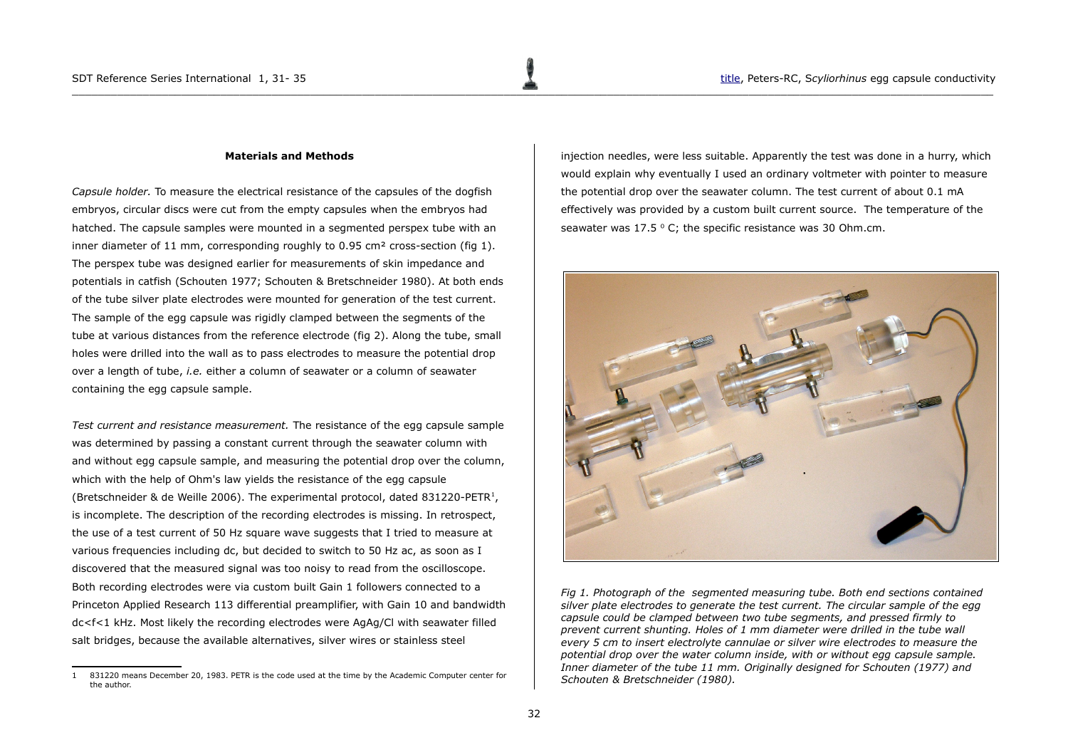### <span id="page-1-0"></span>**Materials and Methods**

*Capsule holder.* To measure the electrical resistance of the capsules of the dogfish embryos, circular discs were cut from the empty capsules when the embryos had hatched. The capsule samples were mounted in a segmented perspex tube with an inner diameter of 11 mm, corresponding roughly to  $0.95 \text{ cm}^2$  cross-section (fig 1). The perspex tube was designed earlier for measurements of skin impedance and potentials in catfish (Schouten 1977; Schouten & Bretschneider 1980). At both ends of the tube silver plate electrodes were mounted for generation of the test current. The sample of the egg capsule was rigidly clamped between the segments of the tube at various distances from the reference electrode (fig 2). Along the tube, small holes were drilled into the wall as to pass electrodes to measure the potential drop over a length of tube, *i.e.* either a column of seawater or a column of seawater containing the egg capsule sample.

*Test current and resistance measurement.* The resistance of the egg capsule sample was determined by passing a constant current through the seawater column with and without egg capsule sample, and measuring the potential drop over the column, which with the help of Ohm's law yields the resistance of the egg capsule (Bretschneider & de Weille 2006). The experimental protocol, dated 83[1](#page-1-1)220-PETR<sup>1</sup>, is incomplete. The description of the recording electrodes is missing. In retrospect, the use of a test current of 50 Hz square wave suggests that I tried to measure at various frequencies including dc, but decided to switch to 50 Hz ac, as soon as I discovered that the measured signal was too noisy to read from the oscilloscope. Both recording electrodes were via custom built Gain 1 followers connected to a Princeton Applied Research 113 differential preamplifier, with Gain 10 and bandwidth dc<f<1 kHz. Most likely the recording electrodes were AgAg/Cl with seawater filled salt bridges, because the available alternatives, silver wires or stainless steel

injection needles, were less suitable. Apparently the test was done in a hurry, which would explain why eventually I used an ordinary voltmeter with pointer to measure the potential drop over the seawater column. The test current of about 0.1 mA effectively was provided by a custom built current source. The temperature of the seawater was 17.5  $\degree$  C; the specific resistance was 30 Ohm.cm.



*Fig 1. Photograph of the segmented measuring tube. Both end sections contained silver plate electrodes to generate the test current. The circular sample of the egg capsule could be clamped between two tube segments, and pressed firmly to prevent current shunting. Holes of 1 mm diameter were drilled in the tube wall every 5 cm to insert electrolyte cannulae or silver wire electrodes to measure the potential drop over the water column inside, with or without egg capsule sample. Inner diameter of the tube 11 mm. Originally designed for Schouten (1977) and Schouten & Bretschneider (1980).*

<span id="page-1-1"></span><sup>1</sup> 831220 means December 20, 1983. PETR is the code used at the time by the Academic Computer center for the author.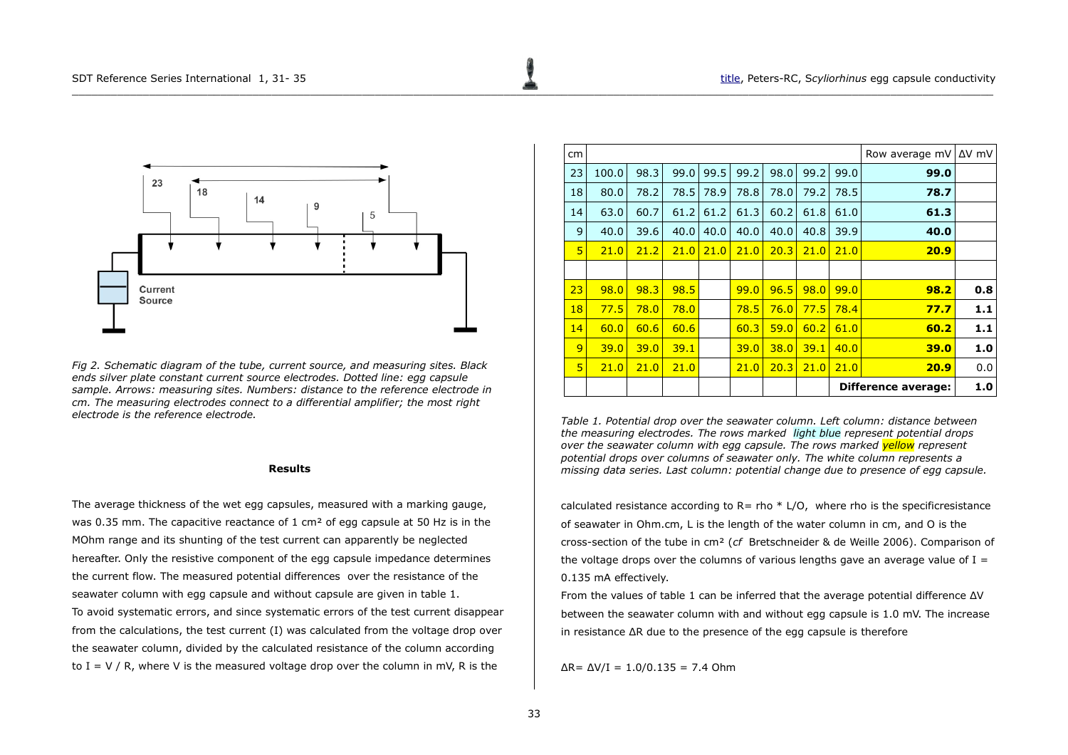

*Fig 2. Schematic diagram of the tube, current source, and measuring sites. Black ends silver plate constant current source electrodes. Dotted line: egg capsule sample. Arrows: measuring sites. Numbers: distance to the reference electrode in cm. The measuring electrodes connect to a differential amplifier; the most right electrode is the reference electrode.*

## <span id="page-2-0"></span>**Results**

The average thickness of the wet egg capsules, measured with a marking gauge, was 0.35 mm. The capacitive reactance of 1 cm<sup>2</sup> of egg capsule at 50 Hz is in the MOhm range and its shunting of the test current can apparently be neglected hereafter. Only the resistive component of the egg capsule impedance determines the current flow. The measured potential differences over the resistance of the seawater column with egg capsule and without capsule are given in table 1. To avoid systematic errors, and since systematic errors of the test current disappear from the calculations, the test current (I) was calculated from the voltage drop over the seawater column, divided by the calculated resistance of the column according to I = V / R, where V is the measured voltage drop over the column in mV, R is the

| cm |       |      |      |      |      |      |      |                            | Row average mV | ΔV mV |
|----|-------|------|------|------|------|------|------|----------------------------|----------------|-------|
| 23 | 100.0 | 98.3 | 99.0 | 99.5 | 99.2 | 98.0 | 99.2 | 99.0                       | 99.0           |       |
| 18 | 80.0  | 78.2 | 78.5 | 78.9 | 78.8 | 78.0 | 79.2 | 78.5                       | 78.7           |       |
| 14 | 63.0  | 60.7 | 61.2 | 61.2 | 61.3 | 60.2 | 61.8 | 61.0                       | 61.3           |       |
| 9  | 40.0  | 39.6 | 40.0 | 40.0 | 40.0 | 40.0 | 40.8 | 39.9                       | 40.0           |       |
| 5  | 21.0  | 21.2 | 21.0 | 21.0 | 21.0 | 20.3 | 21.0 | 21.0                       | 20.9           |       |
|    |       |      |      |      |      |      |      |                            |                |       |
| 23 | 98.0  | 98.3 | 98.5 |      | 99.0 | 96.5 | 98.0 | 99.0                       | 98.2           | 0.8   |
| 18 | 77.5  | 78.0 | 78.0 |      | 78.5 | 76.0 | 77.5 | 78.4                       | 77.7           | 1.1   |
| 14 | 60.0  | 60.6 | 60.6 |      | 60.3 | 59.0 | 60.2 | 61.0                       | 60.2           | 1.1   |
| 9  | 39.0  | 39.0 | 39.1 |      | 39.0 | 38.0 | 39.1 | 40.0                       | 39.0           | 1.0   |
| 5  | 21.0  | 21.0 | 21.0 |      | 21.0 | 20.3 | 21.0 | 21.0                       | 20.9           | 0.0   |
|    |       |      |      |      |      |      |      | <b>Difference average:</b> | 1.0            |       |

*Table 1. Potential drop over the seawater column. Left column: distance between the measuring electrodes. The rows marked light blue represent potential drops over the seawater column with egg capsule. The rows marked yellow represent potential drops over columns of seawater only. The white column represents a missing data series. Last column: potential change due to presence of egg capsule.*

calculated resistance according to  $R = rho * L/O$ , where rho is the specificresistance of seawater in Ohm.cm, L is the length of the water column in cm, and O is the cross-section of the tube in cm² (*cf* Bretschneider & de Weille 2006). Comparison of the voltage drops over the columns of various lengths gave an average value of  $I =$ 0.135 mA effectively.

From the values of table 1 can be inferred that the average potential difference ΔV between the seawater column with and without egg capsule is 1.0 mV. The increase in resistance ΔR due to the presence of the egg capsule is therefore

 $ΔR = ΔV/I = 1.0/0.135 = 7.4 Ohm$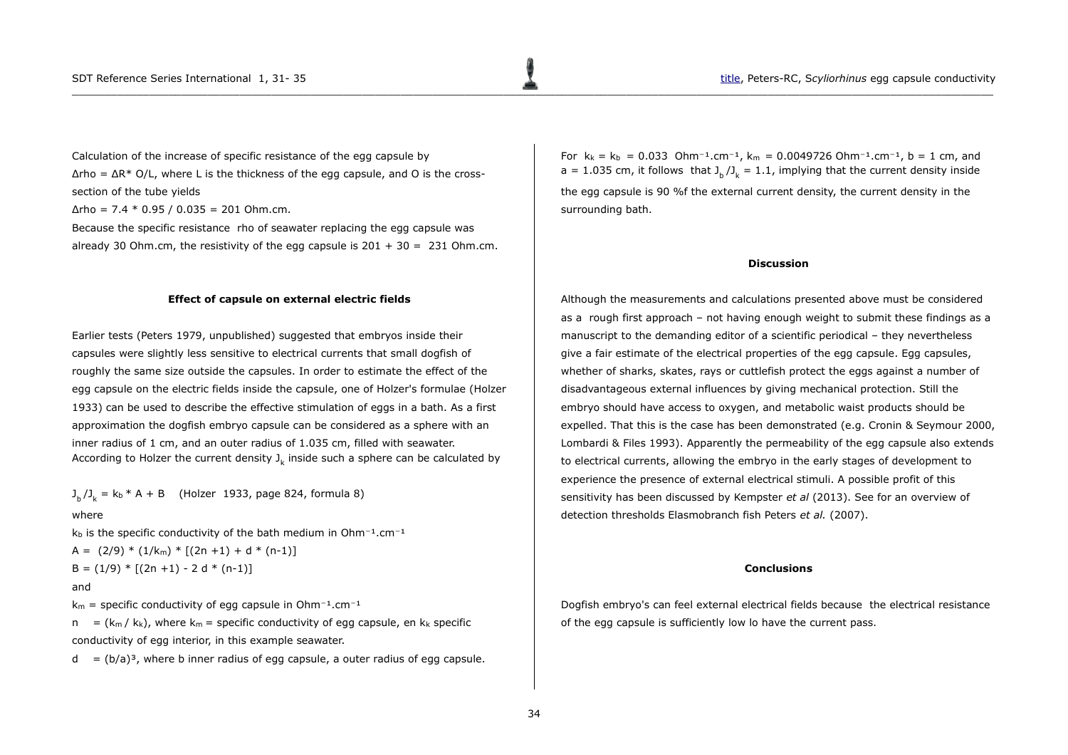Calculation of the increase of specific resistance of the egg capsule by  $\Delta$ rho =  $\Delta$ R<sup>\*</sup> O/L, where L is the thickness of the egg capsule, and O is the crosssection of the tube yields

 $\Delta$ rho = 7.4  $*$  0.95 / 0.035 = 201 Ohm.cm.

Because the specific resistance rho of seawater replacing the egg capsule was already 30 Ohm.cm, the resistivity of the egg capsule is  $201 + 30 = 231$  Ohm.cm.

### **Effect of capsule on external electric fields**

Earlier tests (Peters 1979, unpublished) suggested that embryos inside their capsules were slightly less sensitive to electrical currents that small dogfish of roughly the same size outside the capsules. In order to estimate the effect of the egg capsule on the electric fields inside the capsule, one of Holzer's formulae (Holzer 1933) can be used to describe the effective stimulation of eggs in a bath. As a first approximation the dogfish embryo capsule can be considered as a sphere with an inner radius of 1 cm, and an outer radius of 1.035 cm, filled with seawater. According to Holzer the current density  $\text{J}_\text{k}$  inside such a sphere can be calculated by

 $J_{b}/J_{k} = k_{b} * A + B$  (Holzer 1933, page 824, formula 8)

#### where

 $k_b$  is the specific conductivity of the bath medium in Ohm $^{-1}$ .cm $^{-1}$ 

A =  $(2/9) * (1/k<sub>m</sub>) * [(2n +1) + d * (n-1)]$  $B = (1/9) * [(2n +1) - 2 d * (n-1)]$ 

### and

 $k_m$  = specific conductivity of egg capsule in Ohm<sup>-1</sup>.cm<sup>-1</sup>

 $n = (k_m / k_k)$ , where  $k_m$  = specific conductivity of egg capsule, en k<sub>k</sub> specific conductivity of egg interior, in this example seawater.

 $d = (b/a)<sup>3</sup>$ , where b inner radius of egg capsule, a outer radius of egg capsule.

For  $k_k = k_b = 0.033$  Ohm<sup>-1</sup>.cm<sup>-1</sup>,  $k_m = 0.0049726$  Ohm<sup>-1</sup>.cm<sup>-1</sup>, b = 1 cm, and a = 1.035 cm, it follows that  $J_b / J_k = 1.1$ , implying that the current density inside the egg capsule is 90 %f the external current density, the current density in the surrounding bath.

### <span id="page-3-0"></span>**Discussion**

Although the measurements and calculations presented above must be considered as a rough first approach – not having enough weight to submit these findings as a manuscript to the demanding editor of a scientific periodical – they nevertheless give a fair estimate of the electrical properties of the egg capsule. Egg capsules, whether of sharks, skates, rays or cuttlefish protect the eggs against a number of disadvantageous external influences by giving mechanical protection. Still the embryo should have access to oxygen, and metabolic waist products should be expelled. That this is the case has been demonstrated (e.g. Cronin & Seymour 2000, Lombardi & Files 1993). Apparently the permeability of the egg capsule also extends to electrical currents, allowing the embryo in the early stages of development to experience the presence of external electrical stimuli. A possible profit of this sensitivity has been discussed by Kempster *et al* (2013). See for an overview of detection thresholds Elasmobranch fish Peters *et al.* (2007).

#### **Conclusions**

Dogfish embryo's can feel external electrical fields because the electrical resistance of the egg capsule is sufficiently low lo have the current pass.